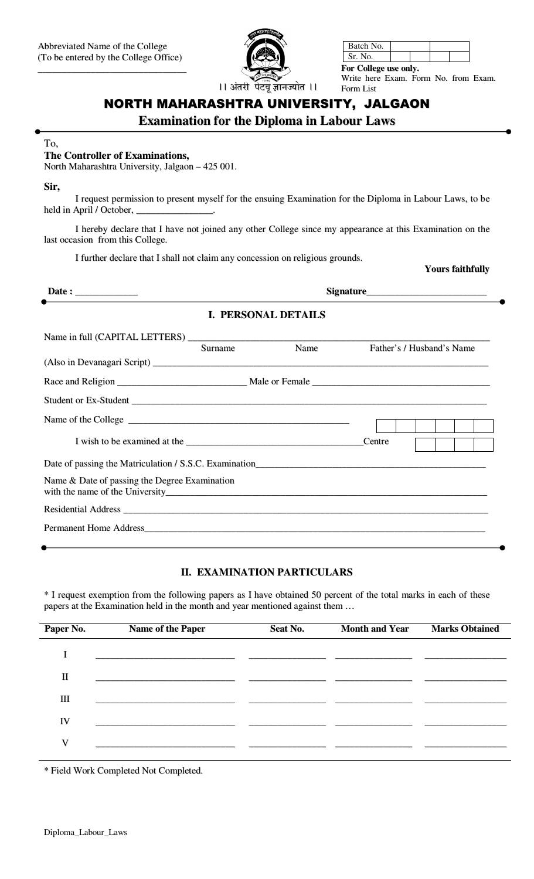

| Batch No.            |  |  |  |  |
|----------------------|--|--|--|--|
| Sr. No.              |  |  |  |  |
| Eau Callage use only |  |  |  |  |

ollege use onl Write here Exam. Form No. from Exam. Form List

# NORTH MAHARASHTRA UNIVERSITY, JALGAON

**Examination for the Diploma in Labour Laws** 

#### To,

### The Controller of Examinations,

North Maharashtra University, Jalgaon - 425 001.

Sir,

I request permission to present myself for the ensuing Examination for the Diploma in Labour Laws, to be held in April / October,

I hereby declare that I have not joined any other College since my appearance at this Examination on the last occasion from this College.

I further declare that I shall not claim any concession on religious grounds.

#### **Yours faithfully**

|                                               |         | <b>I. PERSONAL DETAILS</b> |                           |  |
|-----------------------------------------------|---------|----------------------------|---------------------------|--|
|                                               | Surname | Name                       | Father's / Husband's Name |  |
|                                               |         |                            |                           |  |
|                                               |         |                            |                           |  |
|                                               |         |                            | Centre                    |  |
|                                               |         |                            |                           |  |
| Name & Date of passing the Degree Examination |         |                            |                           |  |
|                                               |         |                            |                           |  |
|                                               |         |                            |                           |  |

## **II. EXAMINATION PARTICULARS**

\* I request exemption from the following papers as I have obtained 50 percent of the total marks in each of these papers at the Examination held in the month and year mentioned against them ...

| Paper No. | Name of the Paper | Seat No. | <b>Month and Year</b> | <b>Marks Obtained</b> |
|-----------|-------------------|----------|-----------------------|-----------------------|
|           |                   |          |                       |                       |
| П         |                   |          |                       |                       |
| Ш         |                   |          |                       |                       |
| IV        |                   |          |                       |                       |
| V         |                   |          |                       |                       |

\* Field Work Completed Not Completed.